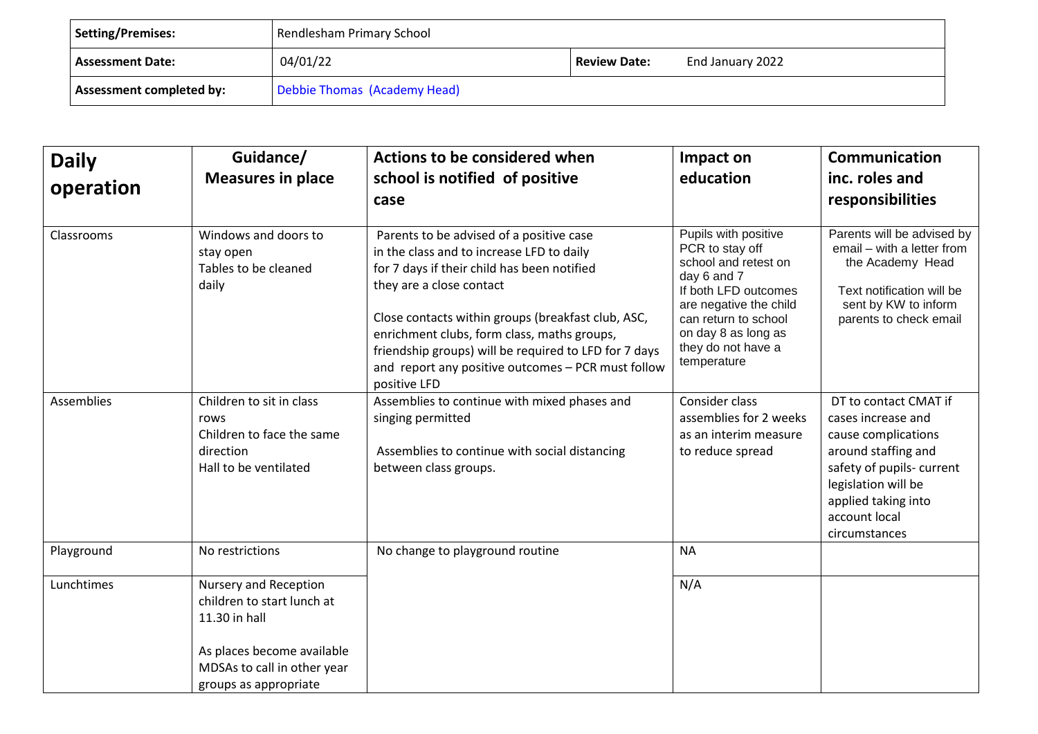| Setting/Premises:                                               | Rendlesham Primary School                    |  |  |
|-----------------------------------------------------------------|----------------------------------------------|--|--|
| <b>Assessment Date:</b>                                         | 04/01/22<br>End January 2022<br>Review Date: |  |  |
| Debbie Thomas (Academy Head)<br><b>Assessment completed by:</b> |                                              |  |  |

| <b>Daily</b><br>operation | Guidance/<br><b>Measures in place</b>                                                                                                                      | Actions to be considered when<br>school is notified of positive<br>case                                                                                                                                                                                                                                                                                                                              | Impact on<br>education                                                                                                                                                                                               | <b>Communication</b><br>inc. roles and<br>responsibilities                                                                                                                                            |
|---------------------------|------------------------------------------------------------------------------------------------------------------------------------------------------------|------------------------------------------------------------------------------------------------------------------------------------------------------------------------------------------------------------------------------------------------------------------------------------------------------------------------------------------------------------------------------------------------------|----------------------------------------------------------------------------------------------------------------------------------------------------------------------------------------------------------------------|-------------------------------------------------------------------------------------------------------------------------------------------------------------------------------------------------------|
| Classrooms                | Windows and doors to<br>stay open<br>Tables to be cleaned<br>daily                                                                                         | Parents to be advised of a positive case<br>in the class and to increase LFD to daily<br>for 7 days if their child has been notified<br>they are a close contact<br>Close contacts within groups (breakfast club, ASC,<br>enrichment clubs, form class, maths groups,<br>friendship groups) will be required to LFD for 7 days<br>and report any positive outcomes - PCR must follow<br>positive LFD | Pupils with positive<br>PCR to stay off<br>school and retest on<br>day 6 and 7<br>If both LFD outcomes<br>are negative the child<br>can return to school<br>on day 8 as long as<br>they do not have a<br>temperature | Parents will be advised by<br>email - with a letter from<br>the Academy Head<br>Text notification will be<br>sent by KW to inform<br>parents to check email                                           |
| <b>Assemblies</b>         | Children to sit in class<br>rows<br>Children to face the same<br>direction<br>Hall to be ventilated                                                        | Assemblies to continue with mixed phases and<br>singing permitted<br>Assemblies to continue with social distancing<br>between class groups.                                                                                                                                                                                                                                                          | Consider class<br>assemblies for 2 weeks<br>as an interim measure<br>to reduce spread                                                                                                                                | DT to contact CMAT if<br>cases increase and<br>cause complications<br>around staffing and<br>safety of pupils-current<br>legislation will be<br>applied taking into<br>account local<br>circumstances |
| Playground                | No restrictions                                                                                                                                            | No change to playground routine                                                                                                                                                                                                                                                                                                                                                                      | <b>NA</b>                                                                                                                                                                                                            |                                                                                                                                                                                                       |
| Lunchtimes                | Nursery and Reception<br>children to start lunch at<br>11.30 in hall<br>As places become available<br>MDSAs to call in other year<br>groups as appropriate |                                                                                                                                                                                                                                                                                                                                                                                                      | N/A                                                                                                                                                                                                                  |                                                                                                                                                                                                       |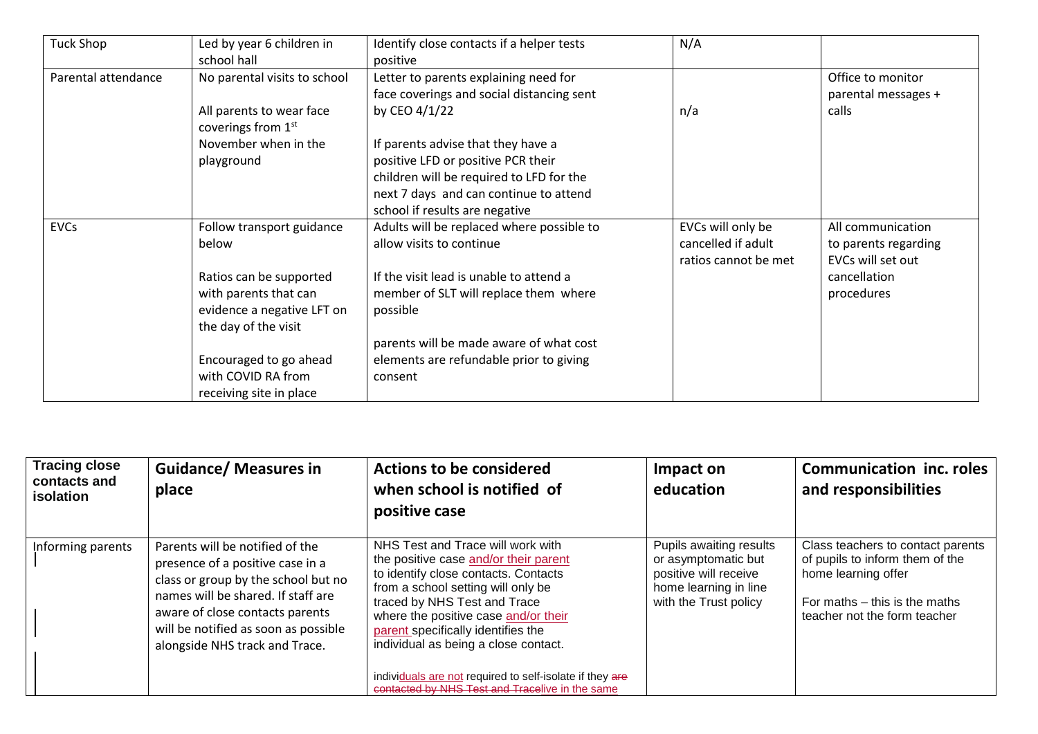| <b>Tuck Shop</b>    | Led by year 6 children in<br>school hall                                                               | Identify close contacts if a helper tests<br>positive                                                                                                                                            | N/A                                                             |                                                                |
|---------------------|--------------------------------------------------------------------------------------------------------|--------------------------------------------------------------------------------------------------------------------------------------------------------------------------------------------------|-----------------------------------------------------------------|----------------------------------------------------------------|
| Parental attendance | No parental visits to school<br>All parents to wear face<br>coverings from 1 <sup>st</sup>             | Letter to parents explaining need for<br>face coverings and social distancing sent<br>by CEO 4/1/22                                                                                              | n/a                                                             | Office to monitor<br>parental messages +<br>calls              |
|                     | November when in the<br>playground                                                                     | If parents advise that they have a<br>positive LFD or positive PCR their<br>children will be required to LFD for the<br>next 7 days and can continue to attend<br>school if results are negative |                                                                 |                                                                |
| <b>EVCs</b>         | Follow transport guidance<br>below                                                                     | Adults will be replaced where possible to<br>allow visits to continue                                                                                                                            | EVCs will only be<br>cancelled if adult<br>ratios cannot be met | All communication<br>to parents regarding<br>EVCs will set out |
|                     | Ratios can be supported<br>with parents that can<br>evidence a negative LFT on<br>the day of the visit | If the visit lead is unable to attend a<br>member of SLT will replace them where<br>possible                                                                                                     |                                                                 | cancellation<br>procedures                                     |
|                     | Encouraged to go ahead<br>with COVID RA from<br>receiving site in place                                | parents will be made aware of what cost<br>elements are refundable prior to giving<br>consent                                                                                                    |                                                                 |                                                                |

| <b>Tracing close</b><br>contacts and<br>isolation | <b>Guidance/ Measures in</b><br>place                                                                                                                                                                                                                         | <b>Actions to be considered</b><br>when school is notified of<br>positive case                                                                                                                                                                                                                                                                                                                                                | Impact on<br>education                                                                                                    | <b>Communication inc. roles</b><br>and responsibilities                                                                                                      |
|---------------------------------------------------|---------------------------------------------------------------------------------------------------------------------------------------------------------------------------------------------------------------------------------------------------------------|-------------------------------------------------------------------------------------------------------------------------------------------------------------------------------------------------------------------------------------------------------------------------------------------------------------------------------------------------------------------------------------------------------------------------------|---------------------------------------------------------------------------------------------------------------------------|--------------------------------------------------------------------------------------------------------------------------------------------------------------|
| Informing parents                                 | Parents will be notified of the<br>presence of a positive case in a<br>class or group by the school but no<br>names will be shared. If staff are<br>aware of close contacts parents<br>will be notified as soon as possible<br>alongside NHS track and Trace. | NHS Test and Trace will work with<br>the positive case and/or their parent<br>to identify close contacts. Contacts<br>from a school setting will only be<br>traced by NHS Test and Trace<br>where the positive case and/or their<br>parent specifically identifies the<br>individual as being a close contact.<br>individuals are not required to self-isolate if they are<br>contacted by NHS Test and Tracelive in the same | Pupils awaiting results<br>or asymptomatic but<br>positive will receive<br>home learning in line<br>with the Trust policy | Class teachers to contact parents<br>of pupils to inform them of the<br>home learning offer<br>For maths - this is the maths<br>teacher not the form teacher |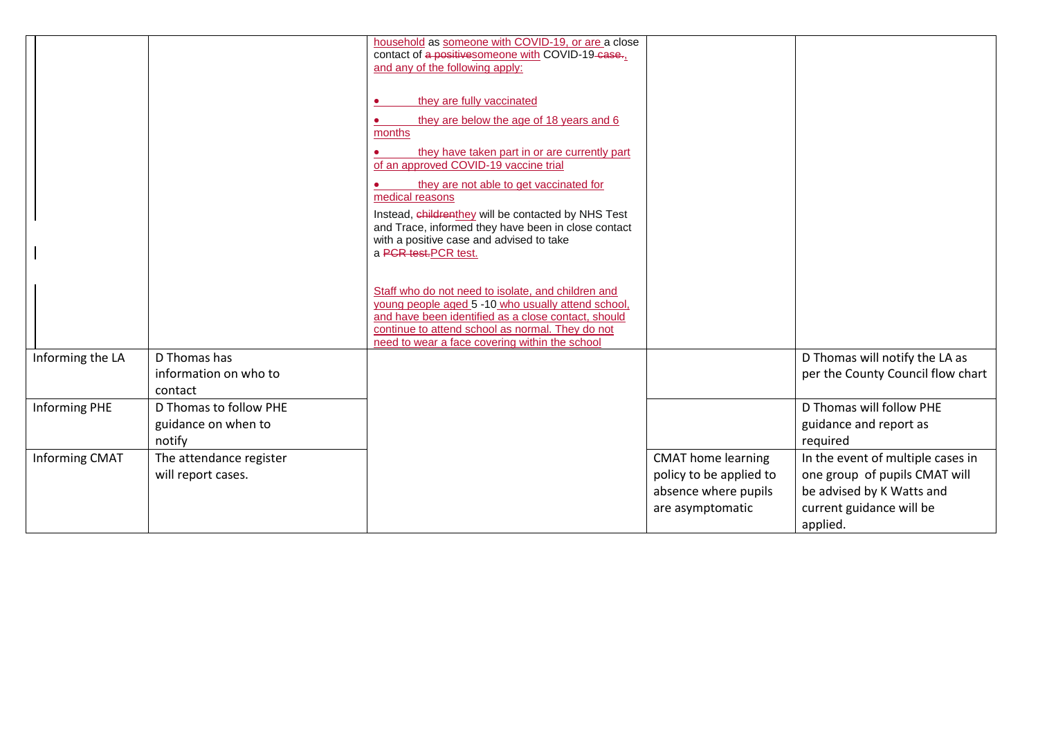|                      |                                                         | household as someone with COVID-19, or are a close<br>contact of a positive someone with COVID-19-case.<br>and any of the following apply:                                                                                                                            |                                                                                                  |                                                                                                                                         |
|----------------------|---------------------------------------------------------|-----------------------------------------------------------------------------------------------------------------------------------------------------------------------------------------------------------------------------------------------------------------------|--------------------------------------------------------------------------------------------------|-----------------------------------------------------------------------------------------------------------------------------------------|
|                      |                                                         | they are fully vaccinated<br>they are below the age of 18 years and 6<br>months<br>they have taken part in or are currently part<br>of an approved COVID-19 vaccine trial<br>they are not able to get vaccinated for<br>medical reasons                               |                                                                                                  |                                                                                                                                         |
|                      |                                                         | Instead, childrenthey will be contacted by NHS Test<br>and Trace, informed they have been in close contact<br>with a positive case and advised to take<br>a PCR test.PCR test.                                                                                        |                                                                                                  |                                                                                                                                         |
|                      |                                                         | Staff who do not need to isolate, and children and<br>young people aged 5 -10 who usually attend school,<br>and have been identified as a close contact, should<br>continue to attend school as normal. They do not<br>need to wear a face covering within the school |                                                                                                  |                                                                                                                                         |
| Informing the LA     | D Thomas has<br>information on who to<br>contact        |                                                                                                                                                                                                                                                                       |                                                                                                  | D Thomas will notify the LA as<br>per the County Council flow chart                                                                     |
| <b>Informing PHE</b> | D Thomas to follow PHE<br>guidance on when to<br>notify |                                                                                                                                                                                                                                                                       |                                                                                                  | D Thomas will follow PHE<br>guidance and report as<br>required                                                                          |
| Informing CMAT       | The attendance register<br>will report cases.           |                                                                                                                                                                                                                                                                       | <b>CMAT</b> home learning<br>policy to be applied to<br>absence where pupils<br>are asymptomatic | In the event of multiple cases in<br>one group of pupils CMAT will<br>be advised by K Watts and<br>current guidance will be<br>applied. |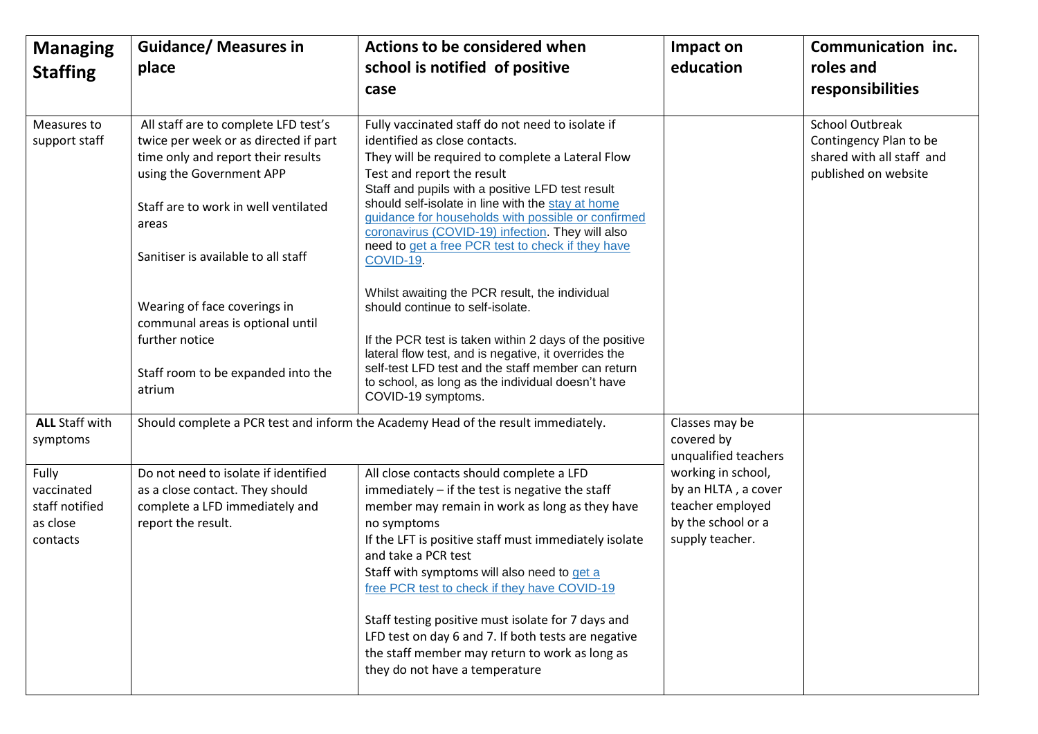| <b>Managing</b><br><b>Staffing</b>                            | <b>Guidance/ Measures in</b><br>place                                                                                                                                                                                                                                                                                                                                         | <b>Actions to be considered when</b><br>school is notified of positive<br>case                                                                                                                                                                                                                                                                                                                                                                                                                                                                                                                                                                                                                                                                                                                    | Impact on<br>education                                                                                 | Communication inc.<br>roles and<br>responsibilities                                                   |
|---------------------------------------------------------------|-------------------------------------------------------------------------------------------------------------------------------------------------------------------------------------------------------------------------------------------------------------------------------------------------------------------------------------------------------------------------------|---------------------------------------------------------------------------------------------------------------------------------------------------------------------------------------------------------------------------------------------------------------------------------------------------------------------------------------------------------------------------------------------------------------------------------------------------------------------------------------------------------------------------------------------------------------------------------------------------------------------------------------------------------------------------------------------------------------------------------------------------------------------------------------------------|--------------------------------------------------------------------------------------------------------|-------------------------------------------------------------------------------------------------------|
| Measures to<br>support staff                                  | All staff are to complete LFD test's<br>twice per week or as directed if part<br>time only and report their results<br>using the Government APP<br>Staff are to work in well ventilated<br>areas<br>Sanitiser is available to all staff<br>Wearing of face coverings in<br>communal areas is optional until<br>further notice<br>Staff room to be expanded into the<br>atrium | Fully vaccinated staff do not need to isolate if<br>identified as close contacts.<br>They will be required to complete a Lateral Flow<br>Test and report the result<br>Staff and pupils with a positive LFD test result<br>should self-isolate in line with the stay at home<br>guidance for households with possible or confirmed<br>coronavirus (COVID-19) infection. They will also<br>need to get a free PCR test to check if they have<br>COVID-19.<br>Whilst awaiting the PCR result, the individual<br>should continue to self-isolate.<br>If the PCR test is taken within 2 days of the positive<br>lateral flow test, and is negative, it overrides the<br>self-test LFD test and the staff member can return<br>to school, as long as the individual doesn't have<br>COVID-19 symptoms. |                                                                                                        | <b>School Outbreak</b><br>Contingency Plan to be<br>shared with all staff and<br>published on website |
| <b>ALL Staff with</b><br>symptoms                             |                                                                                                                                                                                                                                                                                                                                                                               | Should complete a PCR test and inform the Academy Head of the result immediately.                                                                                                                                                                                                                                                                                                                                                                                                                                                                                                                                                                                                                                                                                                                 | Classes may be<br>covered by<br>unqualified teachers                                                   |                                                                                                       |
| Fully<br>vaccinated<br>staff notified<br>as close<br>contacts | Do not need to isolate if identified<br>as a close contact. They should<br>complete a LFD immediately and<br>report the result.                                                                                                                                                                                                                                               | All close contacts should complete a LFD<br>immediately - if the test is negative the staff<br>member may remain in work as long as they have<br>no symptoms<br>If the LFT is positive staff must immediately isolate<br>and take a PCR test<br>Staff with symptoms will also need to get a<br>free PCR test to check if they have COVID-19<br>Staff testing positive must isolate for 7 days and<br>LFD test on day 6 and 7. If both tests are negative<br>the staff member may return to work as long as<br>they do not have a temperature                                                                                                                                                                                                                                                      | working in school,<br>by an HLTA, a cover<br>teacher employed<br>by the school or a<br>supply teacher. |                                                                                                       |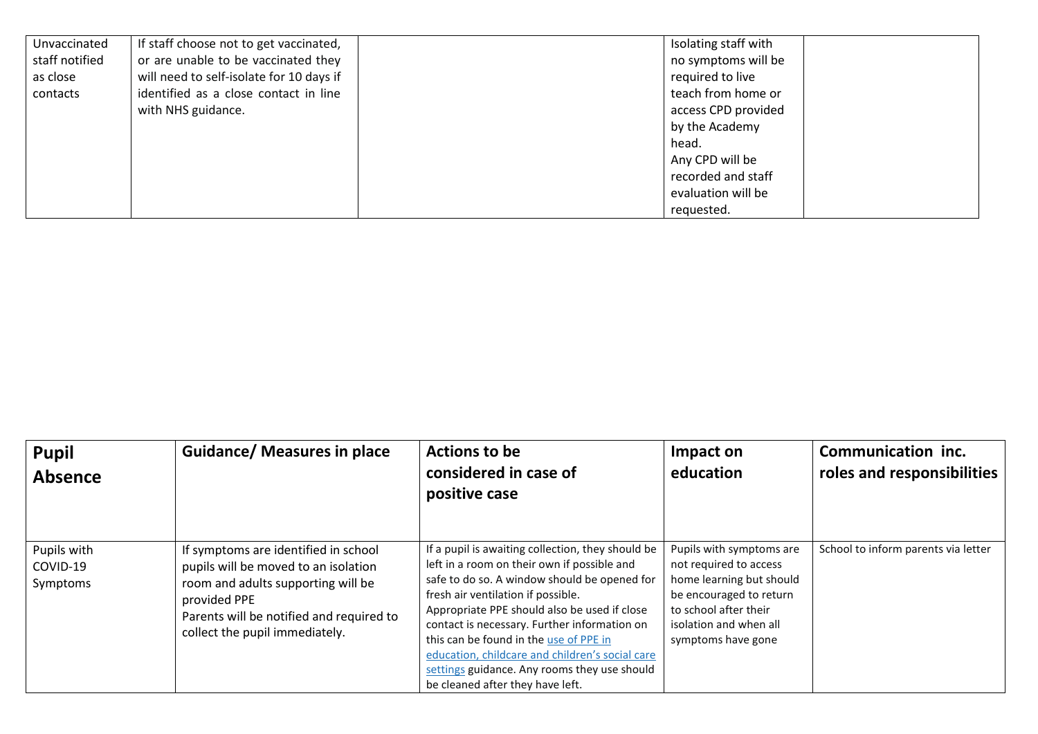| Unvaccinated   | If staff choose not to get vaccinated,   | Isolating staff with |
|----------------|------------------------------------------|----------------------|
| staff notified | or are unable to be vaccinated they      | no symptoms will be  |
| as close       | will need to self-isolate for 10 days if | required to live     |
| contacts       | identified as a close contact in line    | teach from home or   |
|                | with NHS guidance.                       | access CPD provided  |
|                |                                          | by the Academy       |
|                |                                          | head.                |
|                |                                          | Any CPD will be      |
|                |                                          | recorded and staff   |
|                |                                          | evaluation will be   |
|                |                                          | requested.           |

| <b>Pupil</b><br>Absence             | <b>Guidance/ Measures in place</b>                                                                                                                                                                               | <b>Actions to be</b><br>considered in case of<br>positive case                                                                                                                                                                                                                                                                                                                                                                                                          | Impact on<br>education                                                                                                                                                             | Communication inc.<br>roles and responsibilities |
|-------------------------------------|------------------------------------------------------------------------------------------------------------------------------------------------------------------------------------------------------------------|-------------------------------------------------------------------------------------------------------------------------------------------------------------------------------------------------------------------------------------------------------------------------------------------------------------------------------------------------------------------------------------------------------------------------------------------------------------------------|------------------------------------------------------------------------------------------------------------------------------------------------------------------------------------|--------------------------------------------------|
| Pupils with<br>COVID-19<br>Symptoms | If symptoms are identified in school<br>pupils will be moved to an isolation<br>room and adults supporting will be<br>provided PPE<br>Parents will be notified and required to<br>collect the pupil immediately. | If a pupil is awaiting collection, they should be<br>left in a room on their own if possible and<br>safe to do so. A window should be opened for<br>fresh air ventilation if possible.<br>Appropriate PPE should also be used if close<br>contact is necessary. Further information on<br>this can be found in the use of PPE in<br>education, childcare and children's social care<br>settings guidance. Any rooms they use should<br>be cleaned after they have left. | Pupils with symptoms are<br>not required to access<br>home learning but should<br>be encouraged to return<br>to school after their<br>isolation and when all<br>symptoms have gone | School to inform parents via letter              |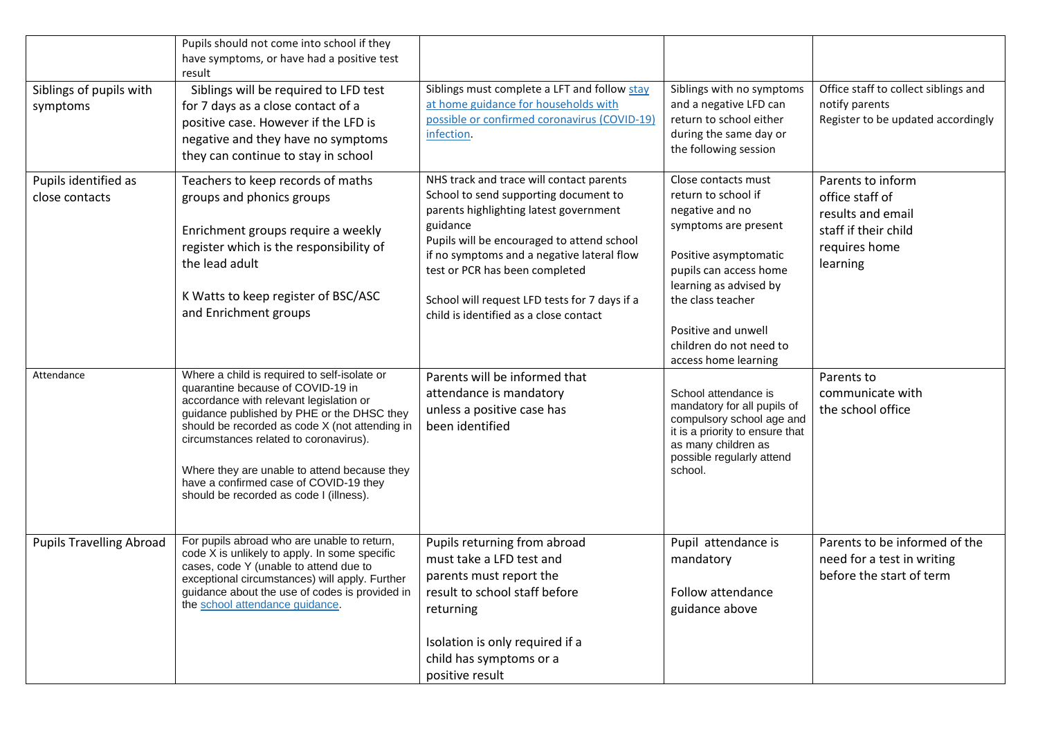|                                        | Pupils should not come into school if they<br>have symptoms, or have had a positive test<br>result                                                                                                                                                                                                                                                                                                          |                                                                                                                                                                                                                                                                                                                                                                  |                                                                                                                                                                                                                                                                   |                                                                                                                |
|----------------------------------------|-------------------------------------------------------------------------------------------------------------------------------------------------------------------------------------------------------------------------------------------------------------------------------------------------------------------------------------------------------------------------------------------------------------|------------------------------------------------------------------------------------------------------------------------------------------------------------------------------------------------------------------------------------------------------------------------------------------------------------------------------------------------------------------|-------------------------------------------------------------------------------------------------------------------------------------------------------------------------------------------------------------------------------------------------------------------|----------------------------------------------------------------------------------------------------------------|
| Siblings of pupils with<br>symptoms    | Siblings will be required to LFD test<br>for 7 days as a close contact of a<br>positive case. However if the LFD is<br>negative and they have no symptoms<br>they can continue to stay in school                                                                                                                                                                                                            | Siblings must complete a LFT and follow stay<br>at home guidance for households with<br>possible or confirmed coronavirus (COVID-19)<br>infection.                                                                                                                                                                                                               | Siblings with no symptoms<br>and a negative LFD can<br>return to school either<br>during the same day or<br>the following session                                                                                                                                 | Office staff to collect siblings and<br>notify parents<br>Register to be updated accordingly                   |
| Pupils identified as<br>close contacts | Teachers to keep records of maths<br>groups and phonics groups<br>Enrichment groups require a weekly<br>register which is the responsibility of<br>the lead adult<br>K Watts to keep register of BSC/ASC<br>and Enrichment groups                                                                                                                                                                           | NHS track and trace will contact parents<br>School to send supporting document to<br>parents highlighting latest government<br>guidance<br>Pupils will be encouraged to attend school<br>if no symptoms and a negative lateral flow<br>test or PCR has been completed<br>School will request LFD tests for 7 days if a<br>child is identified as a close contact | Close contacts must<br>return to school if<br>negative and no<br>symptoms are present<br>Positive asymptomatic<br>pupils can access home<br>learning as advised by<br>the class teacher<br>Positive and unwell<br>children do not need to<br>access home learning | Parents to inform<br>office staff of<br>results and email<br>staff if their child<br>requires home<br>learning |
| Attendance                             | Where a child is required to self-isolate or<br>quarantine because of COVID-19 in<br>accordance with relevant legislation or<br>guidance published by PHE or the DHSC they<br>should be recorded as code X (not attending in<br>circumstances related to coronavirus).<br>Where they are unable to attend because they<br>have a confirmed case of COVID-19 they<br>should be recorded as code I (illness). | Parents will be informed that<br>attendance is mandatory<br>unless a positive case has<br>been identified                                                                                                                                                                                                                                                        | School attendance is<br>mandatory for all pupils of<br>compulsory school age and<br>it is a priority to ensure that<br>as many children as<br>possible regularly attend<br>school.                                                                                | Parents to<br>communicate with<br>the school office                                                            |
| <b>Pupils Travelling Abroad</b>        | For pupils abroad who are unable to return,<br>code X is unlikely to apply. In some specific<br>cases, code Y (unable to attend due to<br>exceptional circumstances) will apply. Further<br>guidance about the use of codes is provided in<br>the school attendance guidance.                                                                                                                               | Pupils returning from abroad<br>must take a LFD test and<br>parents must report the<br>result to school staff before<br>returning<br>Isolation is only required if a<br>child has symptoms or a<br>positive result                                                                                                                                               | Pupil attendance is<br>mandatory<br>Follow attendance<br>guidance above                                                                                                                                                                                           | Parents to be informed of the<br>need for a test in writing<br>before the start of term                        |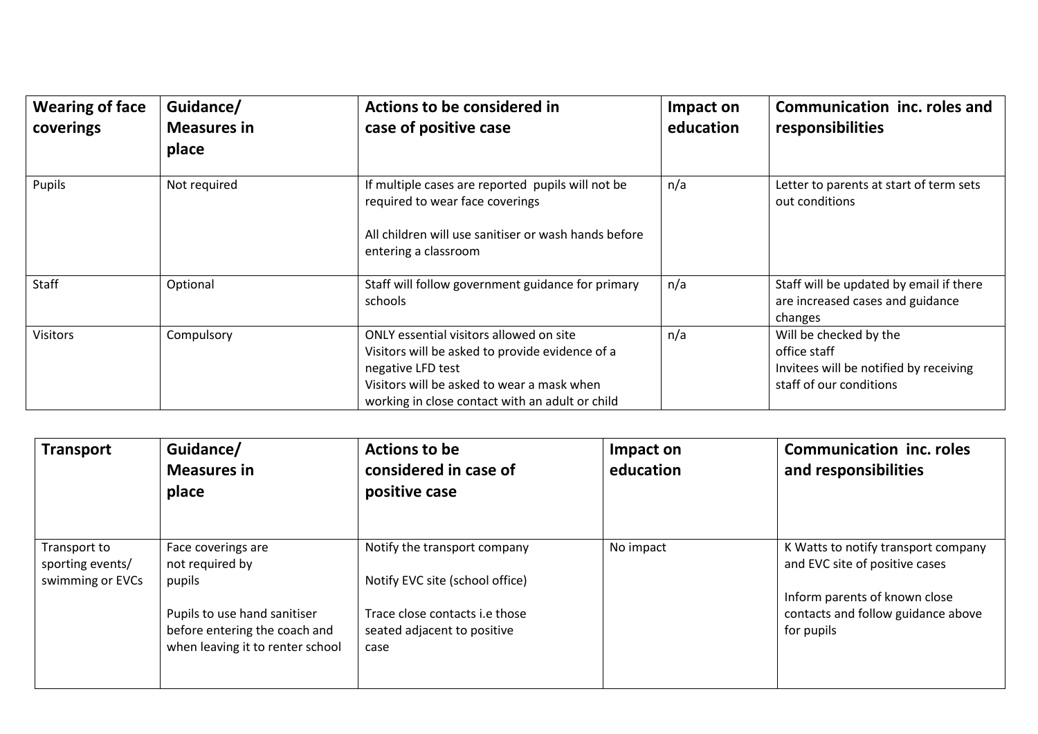| <b>Wearing of face</b><br>coverings | Guidance/<br><b>Measures in</b><br>place | Actions to be considered in<br>case of positive case                                                                                                                                                             | Impact on<br>education | Communication inc. roles and<br>responsibilities                                                            |
|-------------------------------------|------------------------------------------|------------------------------------------------------------------------------------------------------------------------------------------------------------------------------------------------------------------|------------------------|-------------------------------------------------------------------------------------------------------------|
| Pupils                              | Not required                             | If multiple cases are reported pupils will not be<br>required to wear face coverings<br>All children will use sanitiser or wash hands before<br>entering a classroom                                             | n/a                    | Letter to parents at start of term sets<br>out conditions                                                   |
| Staff                               | Optional                                 | Staff will follow government guidance for primary<br>schools                                                                                                                                                     | n/a                    | Staff will be updated by email if there<br>are increased cases and guidance<br>changes                      |
| Visitors                            | Compulsory                               | ONLY essential visitors allowed on site<br>Visitors will be asked to provide evidence of a<br>negative LFD test<br>Visitors will be asked to wear a mask when<br>working in close contact with an adult or child | n/a                    | Will be checked by the<br>office staff<br>Invitees will be notified by receiving<br>staff of our conditions |

| <b>Transport</b>                                     | Guidance/<br><b>Measures in</b><br>place                                                          | Actions to be<br>considered in case of<br>positive case               | Impact on<br>education | <b>Communication inc. roles</b><br>and responsibilities                           |
|------------------------------------------------------|---------------------------------------------------------------------------------------------------|-----------------------------------------------------------------------|------------------------|-----------------------------------------------------------------------------------|
| Transport to<br>sporting events/<br>swimming or EVCs | Face coverings are<br>not required by<br>pupils                                                   | Notify the transport company<br>Notify EVC site (school office)       | No impact              | K Watts to notify transport company<br>and EVC site of positive cases             |
|                                                      | Pupils to use hand sanitiser<br>before entering the coach and<br>when leaving it to renter school | Trace close contacts i.e those<br>seated adjacent to positive<br>case |                        | Inform parents of known close<br>contacts and follow guidance above<br>for pupils |